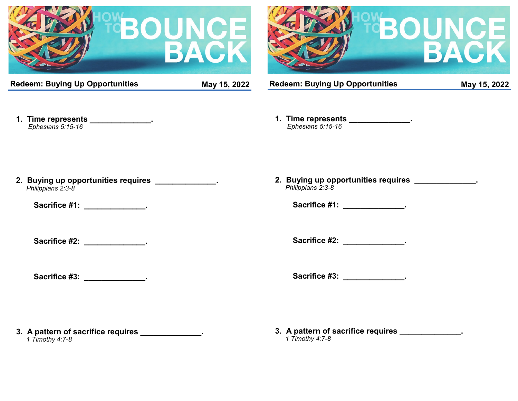



**Redeem: Buying Up Opportunities May 15, 2022**

**Redeem: Buying Up Opportunities May 15, 2022**

**1. Time represents \_\_\_\_\_\_\_\_\_\_\_\_\_\_.**  *Ephesians 5:15-16*

**1. Time represents \_\_\_\_\_\_\_\_\_\_\_\_\_\_.**  *Ephesians 5:15-16*

**2. Buying up opportunities requires \_\_\_\_\_\_\_\_\_\_\_\_\_\_.**  *Philippians 2:3-8*

Sacrifice #1: **We can also constructed**  $\cdot$  **.** 

**Sacrifice #2: \_\_\_\_\_\_\_\_\_\_\_\_\_\_\_\_\_.** 

Sacrifice #3: **\_\_\_\_\_\_\_\_\_\_\_\_\_\_\_**.

**2. Buying up opportunities requires \_\_\_\_\_\_\_\_\_\_\_\_\_\_.**  *Philippians 2:3-8*

Sacrifice #1: \_\_\_\_\_\_\_\_\_\_\_\_\_\_\_.

Sacrifice #2: **We also contain the set of the set of the set of the set of the set of the set of the set of the set of the set of the set of the set of the set of the set of the set of the set of the set of the set of the** 

Sacrifice #3: **We can also have a set of the set of the set of the set of the set of the set of the set of the set of the set of the set of the set of the set of the set of the set of the set of the set of the set of the s** 

**3. A pattern of sacrifice requires \_\_\_\_\_\_\_\_\_\_\_\_\_\_.**  *1 Timothy 4:7-8*

**3. A pattern of sacrifice requires \_\_\_\_\_\_\_\_\_\_\_\_\_\_.**

 *1 Timothy 4:7-8*